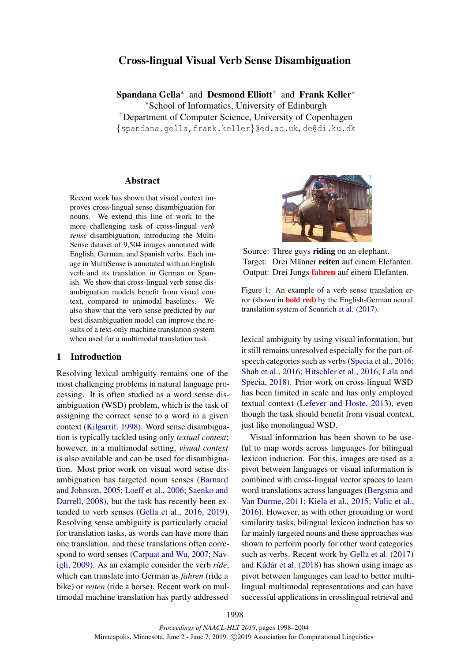# Cross-lingual Visual Verb Sense Disambiguation

Spandana Gella<sup>∗</sup> and Desmond Elliott<sup>†</sup> and Frank Keller<sup>∗</sup> <sup>∗</sup>School of Informatics, University of Edinburgh †Department of Computer Science, University of Copenhagen {spandana.gella,frank.keller}@ed.ac.uk, de@di.ku.dk

## Abstract

Recent work has shown that visual context improves cross-lingual sense disambiguation for nouns. We extend this line of work to the more challenging task of cross-lingual *verb sense* disambiguation, introducing the Multi-Sense dataset of 9,504 images annotated with English, German, and Spanish verbs. Each image in MultiSense is annotated with an English verb and its translation in German or Spanish. We show that cross-lingual verb sense disambiguation models benefit from visual context, compared to unimodal baselines. We also show that the verb sense predicted by our best disambiguation model can improve the results of a text-only machine translation system when used for a multimodal translation task.

### 1 Introduction

Resolving lexical ambiguity remains one of the most challenging problems in natural language processing. It is often studied as a word sense disambiguation (WSD) problem, which is the task of assigning the correct sense to a word in a given context [\(Kilgarrif,](#page-5-0) [1998\)](#page-5-0). Word sense disambiguation is typically tackled using only *textual context*; however, in a multimodal setting, *visual context* is also available and can be used for disambiguation. Most prior work on visual word sense disambiguation has targeted noun senses [\(Barnard](#page-4-0) [and Johnson,](#page-4-0) [2005;](#page-4-0) [Loeff et al.,](#page-5-1) [2006;](#page-5-1) [Saenko and](#page-5-2) [Darrell,](#page-5-2) [2008\)](#page-5-2), but the task has recently been extended to verb senses [\(Gella et al.,](#page-5-3) [2016,](#page-5-3) [2019\)](#page-5-4). Resolving sense ambiguity is particularly crucial for translation tasks, as words can have more than one translation, and these translations often correspond to word senses [\(Carpuat and Wu,](#page-4-1) [2007;](#page-4-1) [Nav](#page-5-5)[igli,](#page-5-5) [2009\)](#page-5-5). As an example consider the verb *ride*, which can translate into German as *fahren* (ride a bike) or *reiten* (ride a horse). Recent work on multimodal machine translation has partly addressed

<span id="page-0-0"></span>

Source: Three guys **riding** on an elephant. Target: Drei Männer reiten auf einem Elefanten. Output: Drei Jungs fahren auf einem Elefanten.

Figure 1: An example of a verb sense translation error (shown in bold red) by the English-German neural translation system of [Sennrich et al.](#page-5-6) [\(2017\)](#page-5-6).

lexical ambiguity by using visual information, but it still remains unresolved especially for the part-ofspeech categories such as verbs [\(Specia et al.,](#page-6-0) [2016;](#page-6-0) [Shah et al.,](#page-6-1) [2016;](#page-6-1) [Hitschler et al.,](#page-5-7) [2016;](#page-5-7) [Lala and](#page-5-8) [Specia,](#page-5-8) [2018\)](#page-5-8). Prior work on cross-lingual WSD has been limited in scale and has only employed textual context [\(Lefever and Hoste,](#page-5-9) [2013\)](#page-5-9), even though the task should benefit from visual context, just like monolingual WSD.

Visual information has been shown to be useful to map words across languages for bilingual lexicon induction. For this, images are used as a pivot between languages or visual information is combined with cross-lingual vector spaces to learn word translations across languages [\(Bergsma and](#page-4-2) [Van Durme,](#page-4-2) [2011;](#page-4-2) [Kiela et al.,](#page-5-10) [2015;](#page-5-10) [Vulic et al.,](#page-6-2) [2016\)](#page-6-2). However, as with other grounding or word similarity tasks, bilingual lexicon induction has so far mainly targeted nouns and these approaches was shown to perform poorly for other word categories such as verbs. Recent work by [Gella et al.](#page-5-11) [\(2017\)](#page-5-11) and Kádár et al. [\(2018\)](#page-5-12) has shown using image as pivot between languages can lead to better multilingual multimodal representations and can have successful applications in crosslingual retrieval and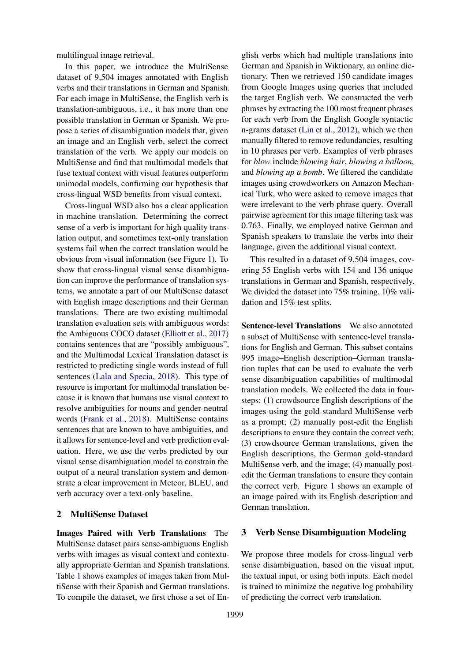multilingual image retrieval.

In this paper, we introduce the MultiSense dataset of 9,504 images annotated with English verbs and their translations in German and Spanish. For each image in MultiSense, the English verb is translation-ambiguous, i.e., it has more than one possible translation in German or Spanish. We propose a series of disambiguation models that, given an image and an English verb, select the correct translation of the verb. We apply our models on MultiSense and find that multimodal models that fuse textual context with visual features outperform unimodal models, confirming our hypothesis that cross-lingual WSD benefits from visual context.

Cross-lingual WSD also has a clear application in machine translation. Determining the correct sense of a verb is important for high quality translation output, and sometimes text-only translation systems fail when the correct translation would be obvious from visual information (see Figure [1\)](#page-0-0). To show that cross-lingual visual sense disambiguation can improve the performance of translation systems, we annotate a part of our MultiSense dataset with English image descriptions and their German translations. There are two existing multimodal translation evaluation sets with ambiguous words: the Ambiguous COCO dataset [\(Elliott et al.,](#page-4-3) [2017\)](#page-4-3) contains sentences that are "possibly ambiguous", and the Multimodal Lexical Translation dataset is restricted to predicting single words instead of full sentences [\(Lala and Specia,](#page-5-8) [2018\)](#page-5-8). This type of resource is important for multimodal translation because it is known that humans use visual context to resolve ambiguities for nouns and gender-neutral words [\(Frank et al.,](#page-5-13) [2018\)](#page-5-13). MultiSense contains sentences that are known to have ambiguities, and it allows for sentence-level and verb prediction evaluation. Here, we use the verbs predicted by our visual sense disambiguation model to constrain the output of a neural translation system and demonstrate a clear improvement in Meteor, BLEU, and verb accuracy over a text-only baseline.

## 2 MultiSense Dataset

Images Paired with Verb Translations The MultiSense dataset pairs sense-ambiguous English verbs with images as visual context and contextually appropriate German and Spanish translations. Table [1](#page-2-0) shows examples of images taken from MultiSense with their Spanish and German translations. To compile the dataset, we first chose a set of En-

glish verbs which had multiple translations into German and Spanish in Wiktionary, an online dictionary. Then we retrieved 150 candidate images from Google Images using queries that included the target English verb. We constructed the verb phrases by extracting the 100 most frequent phrases for each verb from the English Google syntactic n-grams dataset [\(Lin et al.,](#page-5-14) [2012\)](#page-5-14), which we then manually filtered to remove redundancies, resulting in 10 phrases per verb. Examples of verb phrases for *blow* include *blowing hair*, *blowing a balloon*, and *blowing up a bomb*. We filtered the candidate images using crowdworkers on Amazon Mechanical Turk, who were asked to remove images that were irrelevant to the verb phrase query. Overall pairwise agreement for this image filtering task was 0.763. Finally, we employed native German and Spanish speakers to translate the verbs into their language, given the additional visual context.

This resulted in a dataset of 9,504 images, covering 55 English verbs with 154 and 136 unique translations in German and Spanish, respectively. We divided the dataset into 75% training, 10% validation and 15% test splits.

Sentence-level Translations We also annotated a subset of MultiSense with sentence-level translations for English and German. This subset contains 995 image–English description–German translation tuples that can be used to evaluate the verb sense disambiguation capabilities of multimodal translation models. We collected the data in foursteps: (1) crowdsource English descriptions of the images using the gold-standard MultiSense verb as a prompt; (2) manually post-edit the English descriptions to ensure they contain the correct verb; (3) crowdsource German translations, given the English descriptions, the German gold-standard MultiSense verb, and the image; (4) manually postedit the German translations to ensure they contain the correct verb. Figure [1](#page-0-0) shows an example of an image paired with its English description and German translation.

## 3 Verb Sense Disambiguation Modeling

We propose three models for cross-lingual verb sense disambiguation, based on the visual input, the textual input, or using both inputs. Each model is trained to minimize the negative log probability of predicting the correct verb translation.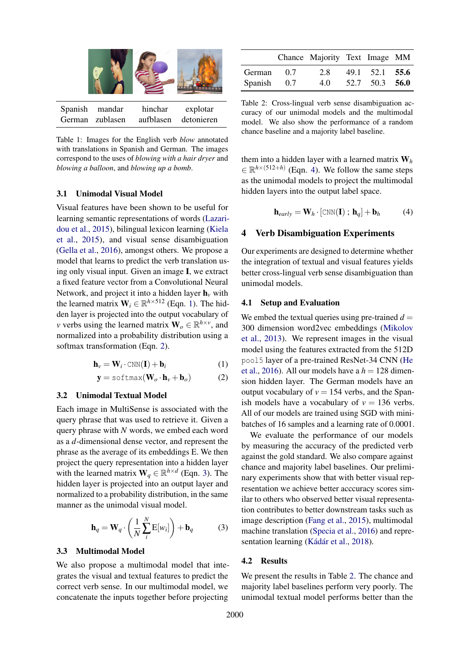<span id="page-2-0"></span>

Table 1: Images for the English verb *blow* annotated with translations in Spanish and German. The images correspond to the uses of *blowing with a hair dryer* and *blowing a balloon*, and *blowing up a bomb*.

## <span id="page-2-6"></span>3.1 Unimodal Visual Model

Visual features have been shown to be useful for learning semantic representations of words [\(Lazari](#page-5-15)[dou et al.,](#page-5-15) [2015\)](#page-5-15), bilingual lexicon learning [\(Kiela](#page-5-10) [et al.,](#page-5-10) [2015\)](#page-5-10), and visual sense disambiguation [\(Gella et al.,](#page-5-3) [2016\)](#page-5-3), amongst others. We propose a model that learns to predict the verb translation using only visual input. Given an image I, we extract a fixed feature vector from a Convolutional Neural Network, and project it into a hidden layer  $h<sub>v</sub>$  with the learned matrix  $W_i \in \mathbb{R}^{h \times 512}$  (Eqn. [1\)](#page-2-1). The hidden layer is projected into the output vocabulary of *v* verbs using the learned matrix  $\mathbf{W}_o \in \mathbb{R}^{h \times v}$ , and normalized into a probability distribution using a softmax transformation (Eqn. [2\)](#page-2-2).

$$
\mathbf{h}_{\nu} = \mathbf{W}_{i} \cdot \text{CNN}(\mathbf{I}) + \mathbf{b}_{i} \tag{1}
$$

$$
\mathbf{y} = \text{softmax}(\mathbf{W}_o \cdot \mathbf{h}_v + \mathbf{b}_o) \tag{2}
$$

### 3.2 Unimodal Textual Model

Each image in MultiSense is associated with the query phrase that was used to retrieve it. Given a query phrase with *N* words, we embed each word as a *d*-dimensional dense vector, and represent the phrase as the average of its embeddings E. We then project the query representation into a hidden layer with the learned matrix  $W_q \in \mathbb{R}^{h \times d}$  (Eqn. [3\)](#page-2-3). The hidden layer is projected into an output layer and normalized to a probability distribution, in the same manner as the unimodal visual model.

$$
\mathbf{h}_q = \mathbf{W}_q \cdot \left(\frac{1}{N} \sum_{i}^{N} \mathbf{E}[w_i]\right) + \mathbf{b}_q \tag{3}
$$

#### 3.3 Multimodal Model

We also propose a multimodal model that integrates the visual and textual features to predict the correct verb sense. In our multimodal model, we concatenate the inputs together before projecting

<span id="page-2-5"></span>

|             |    | Chance Majority Text Image MM |                |  |
|-------------|----|-------------------------------|----------------|--|
| German      | 07 | 2.8                           | 49.1 52.1 55.6 |  |
| Spanish 0.7 |    | 4.0                           | 52.7 50.3 56.0 |  |

Table 2: Cross-lingual verb sense disambiguation accuracy of our unimodal models and the multimodal model. We also show the performance of a random chance baseline and a majority label baseline.

them into a hidden layer with a learned matrix W*<sup>h</sup>*  $\in \mathbb{R}^{h \times (512+h)}$  (Eqn. [4\)](#page-2-4). We follow the same steps as the unimodal models to project the multimodal hidden layers into the output label space.

<span id="page-2-4"></span>
$$
\mathbf{h}_{early} = \mathbf{W}_h \cdot [\text{CNN}(\mathbf{I}) \; ; \; \mathbf{h}_q] + \mathbf{b}_h \tag{4}
$$

### 4 Verb Disambiguation Experiments

Our experiments are designed to determine whether the integration of textual and visual features yields better cross-lingual verb sense disambiguation than unimodal models.

#### 4.1 Setup and Evaluation

<span id="page-2-2"></span><span id="page-2-1"></span>We embed the textual queries using pre-trained  $d =$ 300 dimension word2vec embeddings [\(Mikolov](#page-5-16) [et al.,](#page-5-16) [2013\)](#page-5-16). We represent images in the visual model using the features extracted from the 512D pool5 layer of a pre-trained ResNet-34 CNN [\(He](#page-5-17) [et al.,](#page-5-17) [2016\)](#page-5-17). All our models have a  $h = 128$  dimension hidden layer. The German models have an output vocabulary of  $v = 154$  verbs, and the Spanish models have a vocabulary of  $v = 136$  verbs. All of our models are trained using SGD with minibatches of 16 samples and a learning rate of 0.0001.

We evaluate the performance of our models by measuring the accuracy of the predicted verb against the gold standard. We also compare against chance and majority label baselines. Our preliminary experiments show that with better visual representation we achieve better acccuracy scores similar to others who observed better visual representation contributes to better downstream tasks such as image description [\(Fang et al.,](#page-5-18) [2015\)](#page-5-18), multimodal machine translation [\(Specia et al.,](#page-6-0) [2016\)](#page-6-0) and repre-sentation learning (Kádár et al., [2018\)](#page-5-12).

#### <span id="page-2-3"></span>4.2 Results

We present the results in Table [2.](#page-2-5) The chance and majority label baselines perform very poorly. The unimodal textual model performs better than the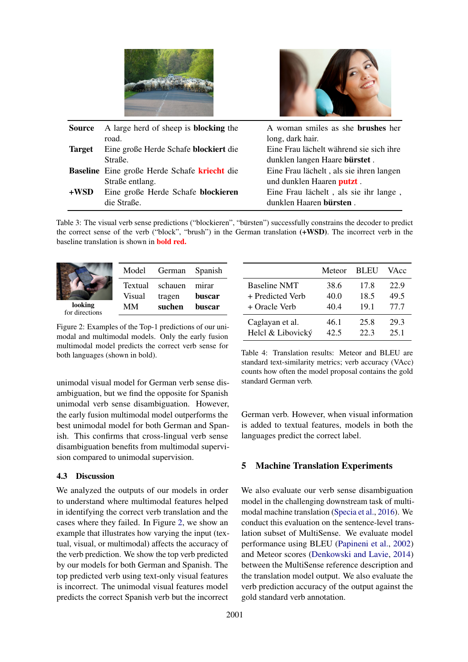



| Source        | A large herd of sheep is <b>blocking</b> the        | A woman smiles as she <b>brushes</b> her |
|---------------|-----------------------------------------------------|------------------------------------------|
|               | road.                                               | long, dark hair.                         |
| <b>Target</b> | Eine große Herde Schafe blockiert die               | Eine Frau lächelt während sie sich ihre  |
|               | Straße.                                             | dunklen langen Haare bürstet.            |
|               | <b>Baseline</b> Eine große Herde Schafe kriecht die | Eine Frau lächelt, als sie ihren langen  |
|               | Straße entlang.                                     | und dunklen Haaren putzt.                |
| $+$ WSD       | Eine große Herde Schafe blockieren                  | Eine Frau lächelt, als sie ihr lange,    |
|               | die Straße.                                         | dunklen Haaren bürsten.                  |

Table 3: The visual verb sense predictions ("blockieren", "bürsten") successfully constrains the decoder to predict the correct sense of the verb ("block", "brush") in the German translation (+WSD). The incorrect verb in the baseline translation is shown in bold red.

<span id="page-3-0"></span>

| looking<br>for directions | Textual<br>Visual<br>MМ | schauen<br>tragen<br>suchen | mirar<br>buscar<br>buscar |
|---------------------------|-------------------------|-----------------------------|---------------------------|
|                           | Model                   | German                      | Spanish                   |

Figure 2: Examples of the Top-1 predictions of our unimodal and multimodal models. Only the early fusion multimodal model predicts the correct verb sense for both languages (shown in bold).

unimodal visual model for German verb sense disambiguation, but we find the opposite for Spanish unimodal verb sense disambiguation. However, the early fusion multimodal model outperforms the best unimodal model for both German and Spanish. This confirms that cross-lingual verb sense disambiguation benefits from multimodal supervision compared to unimodal supervision.

## 4.3 Discussion

We analyzed the outputs of our models in order to understand where multimodal features helped in identifying the correct verb translation and the cases where they failed. In Figure [2,](#page-3-0) we show an example that illustrates how varying the input (textual, visual, or multimodal) affects the accuracy of the verb prediction. We show the top verb predicted by our models for both German and Spanish. The top predicted verb using text-only visual features is incorrect. The unimodal visual features model predicts the correct Spanish verb but the incorrect

<span id="page-3-1"></span>

|                     | Meteor | <b>BLEU</b> | VAcc |
|---------------------|--------|-------------|------|
| <b>Baseline NMT</b> | 38.6   | 17.8        | 22.9 |
| + Predicted Verb    | 40.0   | 18.5        | 49.5 |
| + Oracle Verb       | 40.4   | 19.1        | 77.7 |
| Caglayan et al.     | 46.1   | 25.8        | 29.3 |
| Helcl & Libovický   | 42.5   | 22.3        | 25.1 |

Table 4: Translation results: Meteor and BLEU are standard text-similarity metrics; verb accuracy (VAcc) counts how often the model proposal contains the gold standard German verb.

German verb. However, when visual information is added to textual features, models in both the languages predict the correct label.

## 5 Machine Translation Experiments

We also evaluate our verb sense disambiguation model in the challenging downstream task of multimodal machine translation [\(Specia et al.,](#page-6-0) [2016\)](#page-6-0). We conduct this evaluation on the sentence-level translation subset of MultiSense. We evaluate model performance using BLEU [\(Papineni et al.,](#page-5-19) [2002\)](#page-5-19) and Meteor scores [\(Denkowski and Lavie,](#page-4-4) [2014\)](#page-4-4) between the MultiSense reference description and the translation model output. We also evaluate the verb prediction accuracy of the output against the gold standard verb annotation.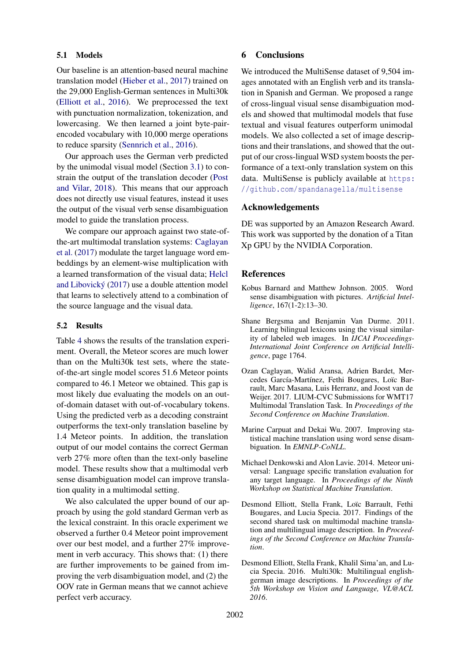## 5.1 Models

Our baseline is an attention-based neural machine translation model [\(Hieber et al.,](#page-5-20) [2017\)](#page-5-20) trained on the 29,000 English-German sentences in Multi30k [\(Elliott et al.,](#page-4-5) [2016\)](#page-4-5). We preprocessed the text with punctuation normalization, tokenization, and lowercasing. We then learned a joint byte-pairencoded vocabulary with 10,000 merge operations to reduce sparsity [\(Sennrich et al.,](#page-6-3) [2016\)](#page-6-3).

Our approach uses the German verb predicted by the unimodal visual model (Section [3.1\)](#page-2-6) to constrain the output of the translation decoder [\(Post](#page-5-21) [and Vilar,](#page-5-21) [2018\)](#page-5-21). This means that our approach does not directly use visual features, instead it uses the output of the visual verb sense disambiguation model to guide the translation process.

We compare our approach against two state-ofthe-art multimodal translation systems: [Caglayan](#page-4-6) [et al.](#page-4-6) [\(2017\)](#page-4-6) modulate the target language word embeddings by an element-wise multiplication with a learned transformation of the visual data; [Helcl](#page-5-22) [and Libovicky´](#page-5-22) [\(2017\)](#page-5-22) use a double attention model that learns to selectively attend to a combination of the source language and the visual data.

## 5.2 Results

Table [4](#page-3-1) shows the results of the translation experiment. Overall, the Meteor scores are much lower than on the Multi30k test sets, where the stateof-the-art single model scores 51.6 Meteor points compared to 46.1 Meteor we obtained. This gap is most likely due evaluating the models on an outof-domain dataset with out-of-vocabulary tokens. Using the predicted verb as a decoding constraint outperforms the text-only translation baseline by 1.4 Meteor points. In addition, the translation output of our model contains the correct German verb 27% more often than the text-only baseline model. These results show that a multimodal verb sense disambiguation model can improve translation quality in a multimodal setting.

We also calculated the upper bound of our approach by using the gold standard German verb as the lexical constraint. In this oracle experiment we observed a further 0.4 Meteor point improvement over our best model, and a further 27% improvement in verb accuracy. This shows that: (1) there are further improvements to be gained from improving the verb disambiguation model, and (2) the OOV rate in German means that we cannot achieve perfect verb accuracy.

## 6 Conclusions

We introduced the MultiSense dataset of 9.504 images annotated with an English verb and its translation in Spanish and German. We proposed a range of cross-lingual visual sense disambiguation models and showed that multimodal models that fuse textual and visual features outperform unimodal models. We also collected a set of image descriptions and their translations, and showed that the output of our cross-lingual WSD system boosts the performance of a text-only translation system on this data. MultiSense is publicly available at [https:](https://github.com/spandanagella/multisense) [//github.com/spandanagella/multisense](https://github.com/spandanagella/multisense)

## Acknowledgements

DE was supported by an Amazon Research Award. This work was supported by the donation of a Titan Xp GPU by the NVIDIA Corporation.

## **References**

- <span id="page-4-0"></span>Kobus Barnard and Matthew Johnson. 2005. Word sense disambiguation with pictures. *Artificial Intelligence*, 167(1-2):13–30.
- <span id="page-4-2"></span>Shane Bergsma and Benjamin Van Durme. 2011. Learning bilingual lexicons using the visual similarity of labeled web images. In *IJCAI Proceedings-International Joint Conference on Artificial Intelligence*, page 1764.
- <span id="page-4-6"></span>Ozan Caglayan, Walid Aransa, Adrien Bardet, Mercedes García-Martínez, Fethi Bougares, Loïc Barrault, Marc Masana, Luis Herranz, and Joost van de Weijer. 2017. LIUM-CVC Submissions for WMT17 Multimodal Translation Task. In *Proceedings of the Second Conference on Machine Translation*.
- <span id="page-4-1"></span>Marine Carpuat and Dekai Wu. 2007. Improving statistical machine translation using word sense disambiguation. In *EMNLP-CoNLL*.
- <span id="page-4-4"></span>Michael Denkowski and Alon Lavie. 2014. Meteor universal: Language specific translation evaluation for any target language. In *Proceedings of the Ninth Workshop on Statistical Machine Translation*.
- <span id="page-4-3"></span>Desmond Elliott, Stella Frank, Loïc Barrault, Fethi Bougares, and Lucia Specia. 2017. Findings of the second shared task on multimodal machine translation and multilingual image description. In *Proceedings of the Second Conference on Machine Translation*.
- <span id="page-4-5"></span>Desmond Elliott, Stella Frank, Khalil Sima'an, and Lucia Specia. 2016. Multi30k: Multilingual englishgerman image descriptions. In *Proceedings of the 5th Workshop on Vision and Language, VL@ACL 2016*.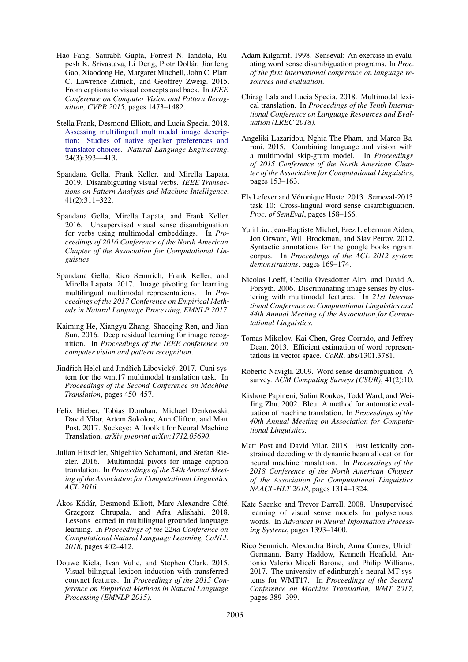- <span id="page-5-18"></span>Hao Fang, Saurabh Gupta, Forrest N. Iandola, Rupesh K. Srivastava, Li Deng, Piotr Dollar, Jianfeng ´ Gao, Xiaodong He, Margaret Mitchell, John C. Platt, C. Lawrence Zitnick, and Geoffrey Zweig. 2015. From captions to visual concepts and back. In *IEEE Conference on Computer Vision and Pattern Recognition, CVPR 2015*, pages 1473–1482.
- <span id="page-5-13"></span>Stella Frank, Desmond Elliott, and Lucia Specia. 2018. [Assessing multilingual multimodal image descrip](https://doi.org/10.1017/S1351324918000074)[tion: Studies of native speaker preferences and](https://doi.org/10.1017/S1351324918000074) [translator choices.](https://doi.org/10.1017/S1351324918000074) *Natural Language Engineering*, 24(3):393––413.
- <span id="page-5-4"></span>Spandana Gella, Frank Keller, and Mirella Lapata. 2019. Disambiguating visual verbs. *IEEE Transactions on Pattern Analysis and Machine Intelligence*, 41(2):311–322.
- <span id="page-5-3"></span>Spandana Gella, Mirella Lapata, and Frank Keller. 2016. Unsupervised visual sense disambiguation for verbs using multimodal embeddings. In *Proceedings of 2016 Conference of the North American Chapter of the Association for Computational Linguistics*.
- <span id="page-5-11"></span>Spandana Gella, Rico Sennrich, Frank Keller, and Mirella Lapata. 2017. Image pivoting for learning multilingual multimodal representations. In *Proceedings of the 2017 Conference on Empirical Methods in Natural Language Processing, EMNLP 2017*.
- <span id="page-5-17"></span>Kaiming He, Xiangyu Zhang, Shaoqing Ren, and Jian Sun. 2016. Deep residual learning for image recognition. In *Proceedings of the IEEE conference on computer vision and pattern recognition*.
- <span id="page-5-22"></span>Jindřich Helcl and Jindřich Libovický. 2017. Cuni system for the wmt17 multimodal translation task. In *Proceedings of the Second Conference on Machine Translation*, pages 450–457.
- <span id="page-5-20"></span>Felix Hieber, Tobias Domhan, Michael Denkowski, David Vilar, Artem Sokolov, Ann Clifton, and Matt Post. 2017. Sockeye: A Toolkit for Neural Machine Translation. *arXiv preprint arXiv:1712.05690*.
- <span id="page-5-7"></span>Julian Hitschler, Shigehiko Schamoni, and Stefan Riezler. 2016. Multimodal pivots for image caption translation. In *Proceedings of the 54th Annual Meeting of the Association for Computational Linguistics, ACL 2016*.
- <span id="page-5-12"></span>Ákos Kádár, Desmond Elliott, Marc-Alexandre Côté, Grzegorz Chrupala, and Afra Alishahi. 2018. Lessons learned in multilingual grounded language learning. In *Proceedings of the 22nd Conference on Computational Natural Language Learning, CoNLL 2018*, pages 402–412.
- <span id="page-5-10"></span>Douwe Kiela, Ivan Vulic, and Stephen Clark. 2015. Visual bilingual lexicon induction with transferred convnet features. In *Proceedings of the 2015 Conference on Empirical Methods in Natural Language Processing (EMNLP 2015)*.
- <span id="page-5-0"></span>Adam Kilgarrif. 1998. Senseval: An exercise in evaluating word sense disambiguation programs. In *Proc. of the first international conference on language resources and evaluation*.
- <span id="page-5-8"></span>Chirag Lala and Lucia Specia. 2018. Multimodal lexical translation. In *Proceedings of the Tenth International Conference on Language Resources and Evaluation (LREC 2018)*.
- <span id="page-5-15"></span>Angeliki Lazaridou, Nghia The Pham, and Marco Baroni. 2015. Combining language and vision with a multimodal skip-gram model. In *Proceedings of 2015 Conference of the North American Chapter of the Association for Computational Linguistics*, pages 153–163.
- <span id="page-5-9"></span>Els Lefever and Véronique Hoste. 2013. Semeval-2013 task 10: Cross-lingual word sense disambiguation. *Proc. of SemEval*, pages 158–166.
- <span id="page-5-14"></span>Yuri Lin, Jean-Baptiste Michel, Erez Lieberman Aiden, Jon Orwant, Will Brockman, and Slav Petrov. 2012. Syntactic annotations for the google books ngram corpus. In *Proceedings of the ACL 2012 system demonstrations*, pages 169–174.
- <span id="page-5-1"></span>Nicolas Loeff, Cecilia Ovesdotter Alm, and David A. Forsyth. 2006. Discriminating image senses by clustering with multimodal features. In *21st International Conference on Computational Linguistics and 44th Annual Meeting of the Association for Computational Linguistics*.
- <span id="page-5-16"></span>Tomas Mikolov, Kai Chen, Greg Corrado, and Jeffrey Dean. 2013. Efficient estimation of word representations in vector space. *CoRR*, abs/1301.3781.
- <span id="page-5-5"></span>Roberto Navigli. 2009. Word sense disambiguation: A survey. *ACM Computing Surveys (CSUR)*, 41(2):10.
- <span id="page-5-19"></span>Kishore Papineni, Salim Roukos, Todd Ward, and Wei-Jing Zhu. 2002. Bleu: A method for automatic evaluation of machine translation. In *Proceedings of the 40th Annual Meeting on Association for Computational Linguistics*.
- <span id="page-5-21"></span>Matt Post and David Vilar. 2018. Fast lexically constrained decoding with dynamic beam allocation for neural machine translation. In *Proceedings of the 2018 Conference of the North American Chapter of the Association for Computational Linguistics NAACL-HLT 2018*, pages 1314–1324.
- <span id="page-5-2"></span>Kate Saenko and Trevor Darrell. 2008. Unsupervised learning of visual sense models for polysemous words. In *Advances in Neural Information Processing Systems*, pages 1393–1400.
- <span id="page-5-6"></span>Rico Sennrich, Alexandra Birch, Anna Currey, Ulrich Germann, Barry Haddow, Kenneth Heafield, Antonio Valerio Miceli Barone, and Philip Williams. 2017. The university of edinburgh's neural MT systems for WMT17. In *Proceedings of the Second Conference on Machine Translation, WMT 2017*, pages 389–399.